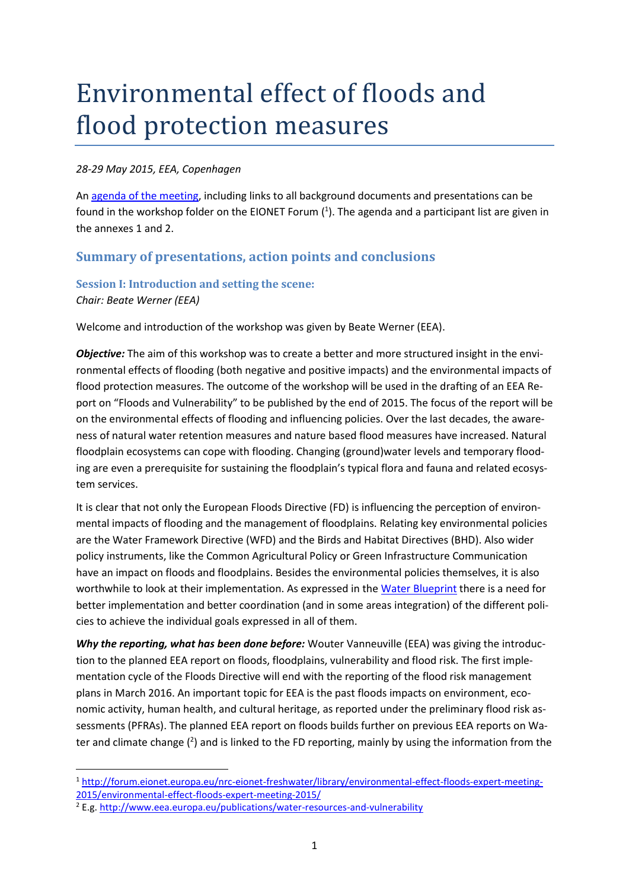# Environmental effect of floods and flood protection measures

#### *28-29 May 2015, EEA, Copenhagen*

A[n agenda of the meeting,](http://forum.eionet.europa.eu/nrc-eionet-freshwater/library/environmental-effect-floods-expert-meeting-2015/environmental-effect-floods-expert-meeting-2015/draft-agenda) including links to all background documents and presentations can be found in the workshop folder on the EIONET Forum  $(1)$ . The agenda and a participant list are given in the annexes 1 and 2.

#### **Summary of presentations, action points and conclusions**

#### **Session I: Introduction and setting the scene:** *Chair: Beate Werner (EEA)*

Welcome and introduction of the workshop was given by Beate Werner (EEA).

*Objective:* The aim of this workshop was to create a better and more structured insight in the environmental effects of flooding (both negative and positive impacts) and the environmental impacts of flood protection measures. The outcome of the workshop will be used in the drafting of an EEA Report on "Floods and Vulnerability" to be published by the end of 2015. The focus of the report will be on the environmental effects of flooding and influencing policies. Over the last decades, the awareness of natural water retention measures and nature based flood measures have increased. Natural floodplain ecosystems can cope with flooding. Changing (ground)water levels and temporary flooding are even a prerequisite for sustaining the floodplain's typical flora and fauna and related ecosystem services.

It is clear that not only the European Floods Directive (FD) is influencing the perception of environmental impacts of flooding and the management of floodplains. Relating key environmental policies are the Water Framework Directive (WFD) and the Birds and Habitat Directives (BHD). Also wider policy instruments, like the Common Agricultural Policy or Green Infrastructure Communication have an impact on floods and floodplains. Besides the environmental policies themselves, it is also worthwhile to look at their implementation. As expressed in th[e Water Blueprint](http://ec.europa.eu/environment/water/blueprint/index_en.htm) there is a need for better implementation and better coordination (and in some areas integration) of the different policies to achieve the individual goals expressed in all of them.

*Why the reporting, what has been done before:* Wouter Vanneuville (EEA) was giving the introduction to the planned EEA report on floods, floodplains, vulnerability and flood risk. The first implementation cycle of the Floods Directive will end with the reporting of the flood risk management plans in March 2016. An important topic for EEA is the past floods impacts on environment, economic activity, human health, and cultural heritage, as reported under the preliminary flood risk assessments (PFRAs). The planned EEA report on floods builds further on previous [EEA reports](http://www.eea.europa.eu/themes/water/water-assessments-2012) on Wa[ter and climate change](http://www.eea.europa.eu/themes/water/water-assessments-2012)  $(2)$  and is linked to the FD reporting, mainly by using the information from the

<sup>1</sup> [http://forum.eionet.europa.eu/nrc-eionet-freshwater/library/environmental-effect-floods-expert-meeting-](http://forum.eionet.europa.eu/nrc-eionet-freshwater/library/environmental-effect-floods-expert-meeting-2015/environmental-effect-floods-expert-meeting-2015/)[2015/environmental-effect-floods-expert-meeting-2015/](http://forum.eionet.europa.eu/nrc-eionet-freshwater/library/environmental-effect-floods-expert-meeting-2015/environmental-effect-floods-expert-meeting-2015/)

<sup>2</sup> E.g[. http://www.eea.europa.eu/publications/water-resources-and-vulnerability](http://www.eea.europa.eu/publications/water-resources-and-vulnerability)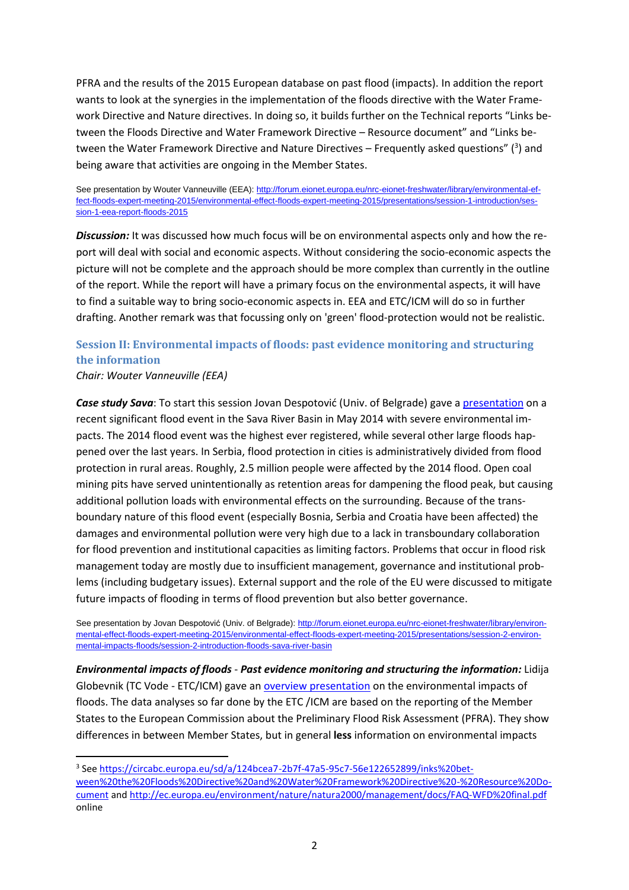PFRA and the results of the 2015 European database on past flood (impacts). In addition the report wants to look at the synergies in the implementation of the floods directive with the Water Framework Directive and Nature directives. In doing so, it builds further on the Technical reports "Links between the Floods Directive and Water Framework Directive – Resource document" and "Links between the Water Framework Directive and Nature Directives  $-$  Frequently asked questions" ( $3$ ) and being aware that activities are ongoing in the Member States.

See presentation by Wouter Vanneuville (EEA): [http://forum.eionet.europa.eu/nrc-eionet-freshwater/library/environmental-ef](http://forum.eionet.europa.eu/nrc-eionet-freshwater/library/environmental-effect-floods-expert-meeting-2015/environmental-effect-floods-expert-meeting-2015/presentations/session-1-introduction/session-1-eea-report-floods-2015)[fect-floods-expert-meeting-2015/environmental-effect-floods-expert-meeting-2015/presentations/session-1-introduction/ses](http://forum.eionet.europa.eu/nrc-eionet-freshwater/library/environmental-effect-floods-expert-meeting-2015/environmental-effect-floods-expert-meeting-2015/presentations/session-1-introduction/session-1-eea-report-floods-2015)[sion-1-eea-report-floods-2015](http://forum.eionet.europa.eu/nrc-eionet-freshwater/library/environmental-effect-floods-expert-meeting-2015/environmental-effect-floods-expert-meeting-2015/presentations/session-1-introduction/session-1-eea-report-floods-2015)

*Discussion:* It was discussed how much focus will be on environmental aspects only and how the report will deal with social and economic aspects. Without considering the socio-economic aspects the picture will not be complete and the approach should be more complex than currently in the outline of the report. While the report will have a primary focus on the environmental aspects, it will have to find a suitable way to bring socio-economic aspects in. EEA and ETC/ICM will do so in further drafting. Another remark was that focussing only on 'green' flood-protection would not be realistic.

#### **Session II: Environmental impacts of floods: past evidence monitoring and structuring the information**

*Chair: Wouter Vanneuville (EEA)*

**.** 

*Case study Sava*: To start this session Jovan Despotović (Univ. of Belgrade) gave a [presentation](http://forum.eionet.europa.eu/nrc-eionet-freshwater/library/environmental-effect-floods-expert-meeting-2015/environmental-effect-floods-expert-meeting-2015/presentations/session-2-environmental-impacts-floods/session-2-introduction-floods-sava-river-basin) on a recent significant flood event in the Sava River Basin in May 2014 with severe environmental impacts. The 2014 flood event was the highest ever registered, while several other large floods happened over the last years. In Serbia, flood protection in cities is administratively divided from flood protection in rural areas. Roughly, 2.5 million people were affected by the 2014 flood. Open coal mining pits have served unintentionally as retention areas for dampening the flood peak, but causing additional pollution loads with environmental effects on the surrounding. Because of the transboundary nature of this flood event (especially Bosnia, Serbia and Croatia have been affected) the damages and environmental pollution were very high due to a lack in transboundary collaboration for flood prevention and institutional capacities as limiting factors. Problems that occur in flood risk management today are mostly due to insufficient management, governance and institutional problems (including budgetary issues). External support and the role of the EU were discussed to mitigate future impacts of flooding in terms of flood prevention but also better governance.

See presentation by Jovan Despotović (Univ. of Belgrade): [http://forum.eionet.europa.eu/nrc-eionet-freshwater/library/environ](http://forum.eionet.europa.eu/nrc-eionet-freshwater/library/environmental-effect-floods-expert-meeting-2015/environmental-effect-floods-expert-meeting-2015/presentations/session-2-environmental-impacts-floods/session-2-introduction-floods-sava-river-basin)[mental-effect-floods-expert-meeting-2015/environmental-effect-floods-expert-meeting-2015/presentations/session-2-environ](http://forum.eionet.europa.eu/nrc-eionet-freshwater/library/environmental-effect-floods-expert-meeting-2015/environmental-effect-floods-expert-meeting-2015/presentations/session-2-environmental-impacts-floods/session-2-introduction-floods-sava-river-basin)[mental-impacts-floods/session-2-introduction-floods-sava-river-basin](http://forum.eionet.europa.eu/nrc-eionet-freshwater/library/environmental-effect-floods-expert-meeting-2015/environmental-effect-floods-expert-meeting-2015/presentations/session-2-environmental-impacts-floods/session-2-introduction-floods-sava-river-basin)

*Environmental impacts of floods* - *Past evidence monitoring and structuring the information:* Lidija Globevnik (TC Vode - ETC/ICM) gave a[n overview presentation](http://forum.eionet.europa.eu/nrc-eionet-freshwater/library/environmental-effect-floods-expert-meeting-2015/environmental-effect-floods-expert-meeting-2015/presentations/session-2-environmental-impacts-floods/session-2-knowledge-needed-report) on the environmental impacts of floods. The data analyses so far done by the ETC /ICM are based on the reporting of the Member States to the European Commission about the Preliminary Flood Risk Assessment (PFRA). They show differences in between Member States, but in general **less** information on environmental impacts

<sup>&</sup>lt;sup>3</sup> See [https://circabc.europa.eu/sd/a/124bcea7-2b7f-47a5-95c7-56e122652899/inks%20bet](https://circabc.europa.eu/sd/a/124bcea7-2b7f-47a5-95c7-56e122652899/inks%20between%20the%20Floods%20Directive%20and%20Water%20Framework%20Directive%20-%20Resource%20Document)[ween%20the%20Floods%20Directive%20and%20Water%20Framework%20Directive%20-%20Resource%20Do](https://circabc.europa.eu/sd/a/124bcea7-2b7f-47a5-95c7-56e122652899/inks%20between%20the%20Floods%20Directive%20and%20Water%20Framework%20Directive%20-%20Resource%20Document)[cument](https://circabc.europa.eu/sd/a/124bcea7-2b7f-47a5-95c7-56e122652899/inks%20between%20the%20Floods%20Directive%20and%20Water%20Framework%20Directive%20-%20Resource%20Document) and<http://ec.europa.eu/environment/nature/natura2000/management/docs/FAQ-WFD%20final.pdf> online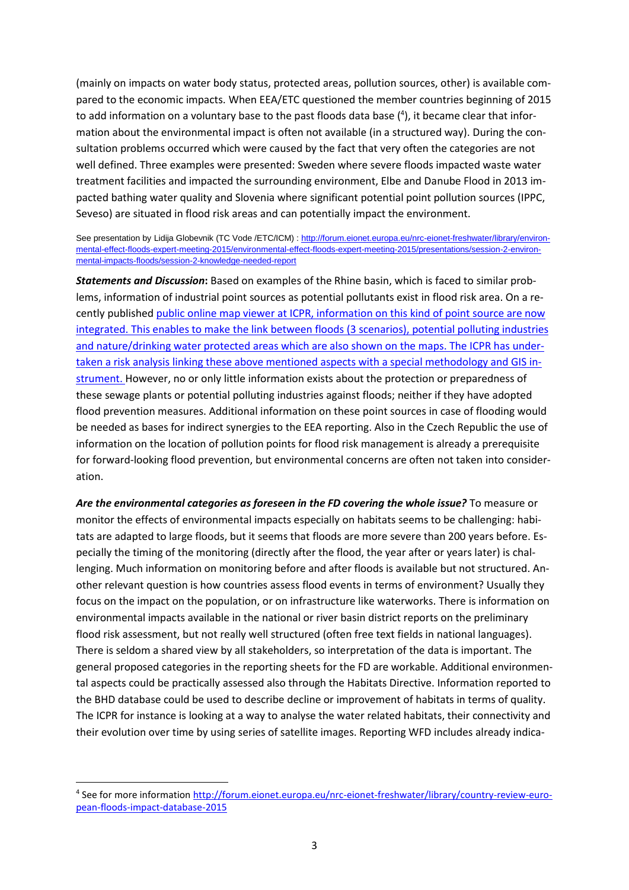(mainly on impacts on water body status, protected areas, pollution sources, other) is available compared to the economic impacts. When EEA/ETC questioned the member countries beginning of 2015 to add information on a voluntary base to the past floods data base (<sup>4</sup>), it became clear that information about the environmental impact is often not available (in a structured way). During the consultation problems occurred which were caused by the fact that very often the categories are not well defined. Three examples were presented: Sweden where severe floods impacted waste water treatment facilities and impacted the surrounding environment, Elbe and Danube Flood in 2013 impacted bathing water quality and Slovenia where significant potential point pollution sources (IPPC, Seveso) are situated in flood risk areas and can potentially impact the environment.

#### See presentation by Lidija Globevnik (TC Vode /ETC/ICM) : [http://forum.eionet.europa.eu/nrc-eionet-freshwater/library/environ](http://forum.eionet.europa.eu/nrc-eionet-freshwater/library/environmental-effect-floods-expert-meeting-2015/environmental-effect-floods-expert-meeting-2015/presentations/session-2-environmental-impacts-floods/session-2-knowledge-needed-report)[mental-effect-floods-expert-meeting-2015/environmental-effect-floods-expert-meeting-2015/presentations/session-2-environ](http://forum.eionet.europa.eu/nrc-eionet-freshwater/library/environmental-effect-floods-expert-meeting-2015/environmental-effect-floods-expert-meeting-2015/presentations/session-2-environmental-impacts-floods/session-2-knowledge-needed-report)[mental-impacts-floods/session-2-knowledge-needed-report](http://forum.eionet.europa.eu/nrc-eionet-freshwater/library/environmental-effect-floods-expert-meeting-2015/environmental-effect-floods-expert-meeting-2015/presentations/session-2-environmental-impacts-floods/session-2-knowledge-needed-report)

*Statements and Discussion***:** Based on examples of the Rhine basin, which is faced to similar problems, information of industrial point sources as potential pollutants exist in flood risk area. On a recently published [public online map viewer](http://geoportal.bafg.de/mapapps/resources/apps/ICPR_EN/index.html?lang=en) at ICPR, information on this kind of point source are now integrated. This enables to make the link between floods (3 scenarios), potential polluting industries and nature/drinking water protected areas which are also shown on the maps. The ICPR has undertaken a risk analysis linking these above mentioned aspects with a special methodology and GIS instrument. However, no or only little information exists about the protection or preparedness of these sewage plants or potential polluting industries against floods; neither if they have adopted flood prevention measures. Additional information on these point sources in case of flooding would be needed as bases for indirect synergies to the EEA reporting. Also in the Czech Republic the use of information on the location of pollution points for flood risk management is already a prerequisite for forward-looking flood prevention, but environmental concerns are often not taken into consideration.

*Are the environmental categories as foreseen in the FD covering the whole issue?* To measure or monitor the effects of environmental impacts especially on habitats seems to be challenging: habitats are adapted to large floods, but it seems that floods are more severe than 200 years before. Especially the timing of the monitoring (directly after the flood, the year after or years later) is challenging. Much information on monitoring before and after floods is available but not structured. Another relevant question is how countries assess flood events in terms of environment? Usually they focus on the impact on the population, or on infrastructure like waterworks. There is information on environmental impacts available in the national or river basin district reports on the preliminary flood risk assessment, but not really well structured (often free text fields in national languages). There is seldom a shared view by all stakeholders, so interpretation of the data is important. The general proposed categories in the reporting sheets for the FD are workable. Additional environmental aspects could be practically assessed also through the Habitats Directive. Information reported to the BHD database could be used to describe decline or improvement of habitats in terms of quality. The ICPR for instance is looking at a way to analyse the water related habitats, their connectivity and their evolution over time by using series of satellite images. Reporting WFD includes already indica-

<sup>&</sup>lt;sup>4</sup> See for more information [http://forum.eionet.europa.eu/nrc-eionet-freshwater/library/country-review-euro](http://forum.eionet.europa.eu/nrc-eionet-freshwater/library/country-review-european-floods-impact-database-2015)[pean-floods-impact-database-2015](http://forum.eionet.europa.eu/nrc-eionet-freshwater/library/country-review-european-floods-impact-database-2015)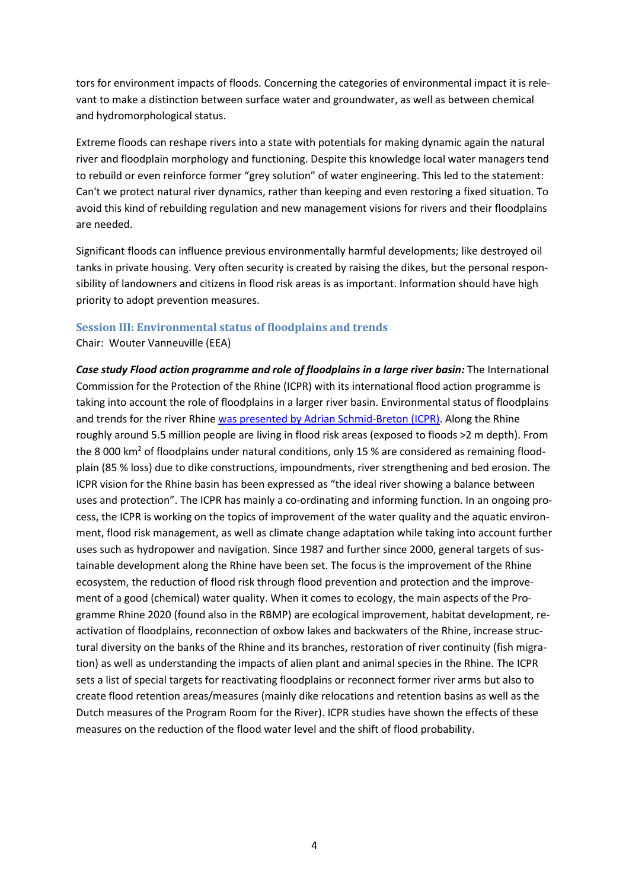tors for environment impacts of floods. Concerning the categories of environmental impact it is relevant to make a distinction between surface water and groundwater, as well as between chemical and hydromorphological status.

Extreme floods can reshape rivers into a state with potentials for making dynamic again the natural river and floodplain morphology and functioning. Despite this knowledge local water managers tend to rebuild or even reinforce former "grey solution" of water engineering. This led to the statement: Can't we protect natural river dynamics, rather than keeping and even restoring a fixed situation. To avoid this kind of rebuilding regulation and new management visions for rivers and their floodplains are needed.

Significant floods can influence previous environmentally harmful developments; like destroyed oil tanks in private housing. Very often security is created by raising the dikes, but the personal responsibility of landowners and citizens in flood risk areas is as important. Information should have high priority to adopt prevention measures.

#### **Session III: Environmental status of floodplains and trends**

Chair: Wouter Vanneuville (EEA)

*Case study Flood action programme and role of floodplains in a large river basin:* The International Commission for the Protection of the Rhine (ICPR) with its international flood action programme is taking into account the role of floodplains in a larger river basin. Environmental status of floodplains and trends for the river Rhine [was presented by Adrian Schmid-Breton \(ICPR\).](http://forum.eionet.europa.eu/nrc-eionet-freshwater/library/environmental-effect-floods-expert-meeting-2015/environmental-effect-floods-expert-meeting-2015/presentations/session-3-environmental-status-floodplains-and-trends/session-3-introduction-rhine-case-study) Along the Rhine roughly around 5.5 million people are living in flood risk areas (exposed to floods >2 m depth). From the 8 000 km<sup>2</sup> of floodplains under natural conditions, only 15 % are considered as remaining floodplain (85 % loss) due to dike constructions, impoundments, river strengthening and bed erosion. The ICPR vision for the Rhine basin has been expressed as "the ideal river showing a balance between uses and protection". The ICPR has mainly a co-ordinating and informing function. In an ongoing process, the ICPR is working on the topics of improvement of the water quality and the aquatic environment, flood risk management, as well as climate change adaptation while taking into account further uses such as hydropower and navigation. Since 1987 and further since 2000, general targets of sustainable development along the Rhine have been set. The focus is the improvement of the Rhine ecosystem, the reduction of flood risk through flood prevention and protection and the improvement of a good (chemical) water quality. When it comes to ecology, the main aspects of the Programme Rhine 2020 (found also in the RBMP) are ecological improvement, habitat development, reactivation of floodplains, reconnection of oxbow lakes and backwaters of the Rhine, increase structural diversity on the banks of the Rhine and its branches, restoration of river continuity (fish migration) as well as understanding the impacts of alien plant and animal species in the Rhine. The ICPR sets a list of special targets for reactivating floodplains or reconnect former river arms but also to create flood retention areas/measures (mainly dike relocations and retention basins as well as the Dutch measures of the Program Room for the River). ICPR studies have shown the effects of these measures on the reduction of the flood water level and the shift of flood probability.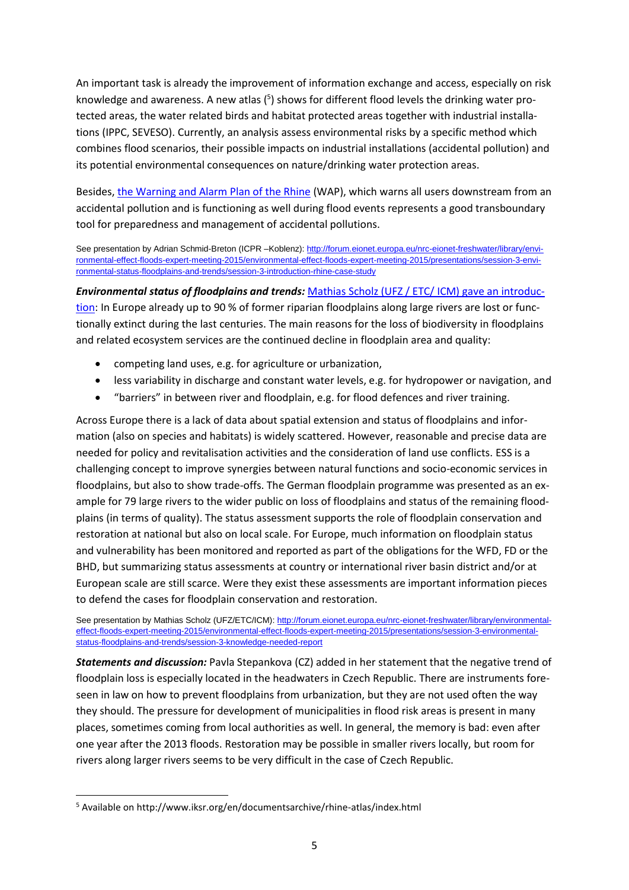An important task is already the improvement of information exchange and access, especially on risk knowledge and awareness. A new atlas  $(5)$  shows for different flood levels the drinking water protected areas, the water related birds and habitat protected areas together with industrial installations (IPPC, SEVESO). Currently, an analysis assess environmental risks by a specific method which combines flood scenarios, their possible impacts on industrial installations (accidental pollution) and its potential environmental consequences on nature/drinking water protection areas.

Besides, [the Warning and Alarm Plan of the Rhine](http://www.iksr.org/index.php?id=86&L=3) (WAP), which warns all users downstream from an accidental pollution and is functioning as well during flood events represents a good transboundary tool for preparedness and management of accidental pollutions.

See presentation by Adrian Schmid-Breton (ICPR -Koblenz): [http://forum.eionet.europa.eu/nrc-eionet-freshwater/library/envi](http://forum.eionet.europa.eu/nrc-eionet-freshwater/library/environmental-effect-floods-expert-meeting-2015/environmental-effect-floods-expert-meeting-2015/presentations/session-3-environmental-status-floodplains-and-trends/session-3-introduction-rhine-case-study)[ronmental-effect-floods-expert-meeting-2015/environmental-effect-floods-expert-meeting-2015/presentations/session-3-envi](http://forum.eionet.europa.eu/nrc-eionet-freshwater/library/environmental-effect-floods-expert-meeting-2015/environmental-effect-floods-expert-meeting-2015/presentations/session-3-environmental-status-floodplains-and-trends/session-3-introduction-rhine-case-study)[ronmental-status-floodplains-and-trends/session-3-introduction-rhine-case-study](http://forum.eionet.europa.eu/nrc-eionet-freshwater/library/environmental-effect-floods-expert-meeting-2015/environmental-effect-floods-expert-meeting-2015/presentations/session-3-environmental-status-floodplains-and-trends/session-3-introduction-rhine-case-study)

*Environmental status of floodplains and trends:* [Mathias Scholz \(UFZ / ETC/ ICM\) gave an introduc](http://forum.eionet.europa.eu/nrc-eionet-freshwater/library/environmental-effect-floods-expert-meeting-2015/environmental-effect-floods-expert-meeting-2015/presentations/session-3-environmental-status-floodplains-and-trends/session-3-knowledge-needed-report)[tion:](http://forum.eionet.europa.eu/nrc-eionet-freshwater/library/environmental-effect-floods-expert-meeting-2015/environmental-effect-floods-expert-meeting-2015/presentations/session-3-environmental-status-floodplains-and-trends/session-3-knowledge-needed-report) In Europe already up to 90 % of former riparian floodplains along large rivers are lost or functionally extinct during the last centuries. The main reasons for the loss of biodiversity in floodplains and related ecosystem services are the continued decline in floodplain area and quality:

- competing land uses, e.g. for agriculture or urbanization,
- less variability in discharge and constant water levels, e.g. for hydropower or navigation, and
- "barriers" in between river and floodplain, e.g. for flood defences and river training.

Across Europe there is a lack of data about spatial extension and status of floodplains and information (also on species and habitats) is widely scattered. However, reasonable and precise data are needed for policy and revitalisation activities and the consideration of land use conflicts. ESS is a challenging concept to improve synergies between natural functions and socio-economic services in floodplains, but also to show trade-offs. The German floodplain programme was presented as an example for 79 large rivers to the wider public on loss of floodplains and status of the remaining floodplains (in terms of quality). The status assessment supports the role of floodplain conservation and restoration at national but also on local scale. For Europe, much information on floodplain status and vulnerability has been monitored and reported as part of the obligations for the WFD, FD or the BHD, but summarizing status assessments at country or international river basin district and/or at European scale are still scarce. Were they exist these assessments are important information pieces to defend the cases for floodplain conservation and restoration.

See presentation by Mathias Scholz (UFZ/ETC/ICM)[: http://forum.eionet.europa.eu/nrc-eionet-freshwater/library/environmental](http://forum.eionet.europa.eu/nrc-eionet-freshwater/library/environmental-effect-floods-expert-meeting-2015/environmental-effect-floods-expert-meeting-2015/presentations/session-3-environmental-status-floodplains-and-trends/session-3-knowledge-needed-report)[effect-floods-expert-meeting-2015/environmental-effect-floods-expert-meeting-2015/presentations/session-3-environmental](http://forum.eionet.europa.eu/nrc-eionet-freshwater/library/environmental-effect-floods-expert-meeting-2015/environmental-effect-floods-expert-meeting-2015/presentations/session-3-environmental-status-floodplains-and-trends/session-3-knowledge-needed-report)[status-floodplains-and-trends/session-3-knowledge-needed-report](http://forum.eionet.europa.eu/nrc-eionet-freshwater/library/environmental-effect-floods-expert-meeting-2015/environmental-effect-floods-expert-meeting-2015/presentations/session-3-environmental-status-floodplains-and-trends/session-3-knowledge-needed-report)

*Statements and discussion:* Pavla Stepankova (CZ) added in her statement that the negative trend of floodplain loss is especially located in the headwaters in Czech Republic. There are instruments foreseen in law on how to prevent floodplains from urbanization, but they are not used often the way they should. The pressure for development of municipalities in flood risk areas is present in many places, sometimes coming from local authorities as well. In general, the memory is bad: even after one year after the 2013 floods. Restoration may be possible in smaller rivers locally, but room for rivers along larger rivers seems to be very difficult in the case of Czech Republic.

<sup>5</sup> Available on http://www.iksr.org/en/documentsarchive/rhine-atlas/index.html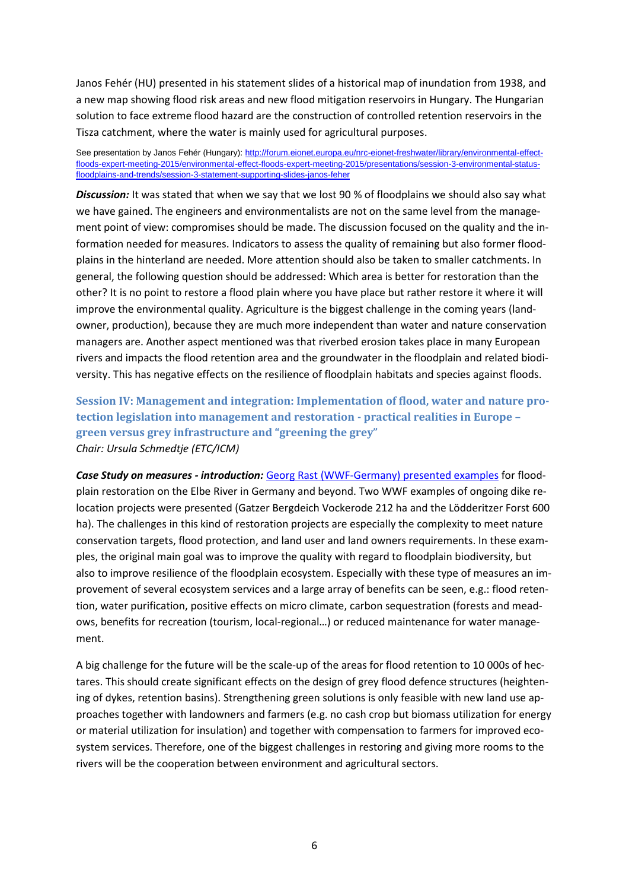Janos Fehér (HU) presented in his statement slides of a historical map of inundation from 1938, and a new map showing flood risk areas and new flood mitigation reservoirs in Hungary. The Hungarian solution to face extreme flood hazard are the construction of controlled retention reservoirs in the Tisza catchment, where the water is mainly used for agricultural purposes.

See presentation by Janos Fehér (Hungary): http://forum.eionet.europa.eu/nrc-eionet-freshwater/library/environmental-effectfloods-expert-meeting-2015/environmental-effect-floods-expert-meeting-2015/presentations/session-3-environmental-statusfloodplains-and-trends/session-3-statement-supporting-slides-janos-feher

*Discussion:* It was stated that when we say that we lost 90 % of floodplains we should also say what we have gained. The engineers and environmentalists are not on the same level from the management point of view: compromises should be made. The discussion focused on the quality and the information needed for measures. Indicators to assess the quality of remaining but also former floodplains in the hinterland are needed. More attention should also be taken to smaller catchments. In general, the following question should be addressed: Which area is better for restoration than the other? It is no point to restore a flood plain where you have place but rather restore it where it will improve the environmental quality. Agriculture is the biggest challenge in the coming years (landowner, production), because they are much more independent than water and nature conservation managers are. Another aspect mentioned was that riverbed erosion takes place in many European rivers and impacts the flood retention area and the groundwater in the floodplain and related biodiversity. This has negative effects on the resilience of floodplain habitats and species against floods.

**Session IV: Management and integration: Implementation of flood, water and nature protection legislation into management and restoration - practical realities in Europe – green versus grey infrastructure and "greening the grey"** *Chair: Ursula Schmedtje (ETC/ICM)*

*Case Study on measures - introduction:* Georg Rast [\(WWF-Germany\) presented examples](http://forum.eionet.europa.eu/nrc-eionet-freshwater/library/environmental-effect-floods-expert-meeting-2015/environmental-effect-floods-expert-meeting-2015/presentations/session-4-management-and-integration/session-4-introduction-case-studies-wwf) for floodplain restoration on the Elbe River in Germany and beyond. Two WWF examples of ongoing dike relocation projects were presented (Gatzer Bergdeich Vockerode 212 ha and the Lödderitzer Forst 600 ha). The challenges in this kind of restoration projects are especially the complexity to meet nature conservation targets, flood protection, and land user and land owners requirements. In these examples, the original main goal was to improve the quality with regard to floodplain biodiversity, but also to improve resilience of the floodplain ecosystem. Especially with these type of measures an improvement of several ecosystem services and a large array of benefits can be seen, e.g.: flood retention, water purification, positive effects on micro climate, carbon sequestration (forests and meadows, benefits for recreation (tourism, local-regional…) or reduced maintenance for water management.

A big challenge for the future will be the scale-up of the areas for flood retention to 10 000s of hectares. This should create significant effects on the design of grey flood defence structures (heightening of dykes, retention basins). Strengthening green solutions is only feasible with new land use approaches together with landowners and farmers (e.g. no cash crop but biomass utilization for energy or material utilization for insulation) and together with compensation to farmers for improved ecosystem services. Therefore, one of the biggest challenges in restoring and giving more rooms to the rivers will be the cooperation between environment and agricultural sectors.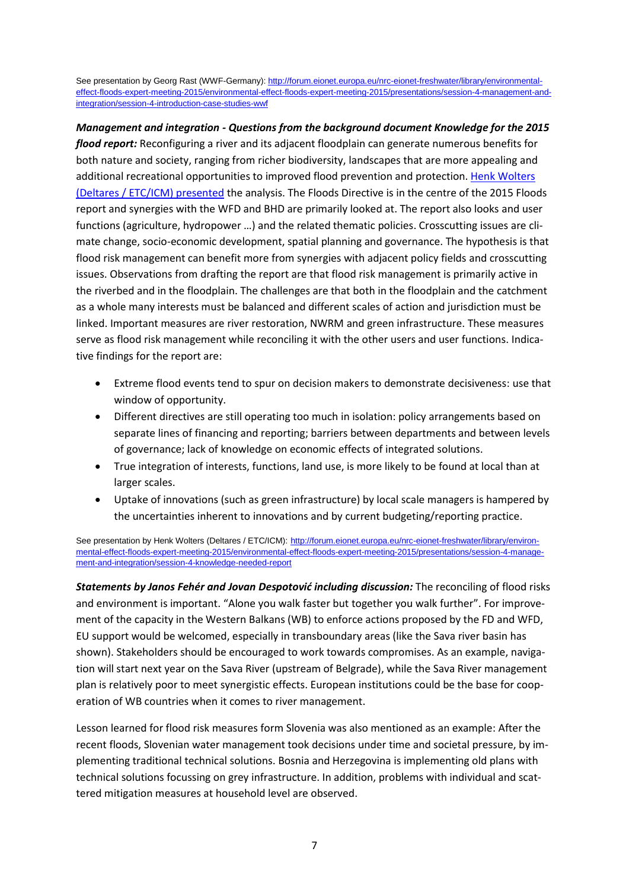See presentation by Georg Rast (WWF-Germany): [http://forum.eionet.europa.eu/nrc-eionet-freshwater/library/environmental](http://forum.eionet.europa.eu/nrc-eionet-freshwater/library/environmental-effect-floods-expert-meeting-2015/environmental-effect-floods-expert-meeting-2015/presentations/session-4-management-and-integration/session-4-introduction-case-studies-wwf)[effect-floods-expert-meeting-2015/environmental-effect-floods-expert-meeting-2015/presentations/session-4-management-and](http://forum.eionet.europa.eu/nrc-eionet-freshwater/library/environmental-effect-floods-expert-meeting-2015/environmental-effect-floods-expert-meeting-2015/presentations/session-4-management-and-integration/session-4-introduction-case-studies-wwf)[integration/session-4-introduction-case-studies-wwf](http://forum.eionet.europa.eu/nrc-eionet-freshwater/library/environmental-effect-floods-expert-meeting-2015/environmental-effect-floods-expert-meeting-2015/presentations/session-4-management-and-integration/session-4-introduction-case-studies-wwf)

*Management and integration - Questions from the background document Knowledge for the 2015 flood report:* Reconfiguring a river and its adjacent floodplain can generate numerous benefits for both nature and society, ranging from richer biodiversity, landscapes that are more appealing and additional recreational opportunities to improved flood prevention and protection[. Henk Wolters](http://forum.eionet.europa.eu/nrc-eionet-freshwater/library/environmental-effect-floods-expert-meeting-2015/environmental-effect-floods-expert-meeting-2015/presentations/session-4-management-and-integration/session-4-knowledge-needed-report)  (Deltares / [ETC/ICM\) presented](http://forum.eionet.europa.eu/nrc-eionet-freshwater/library/environmental-effect-floods-expert-meeting-2015/environmental-effect-floods-expert-meeting-2015/presentations/session-4-management-and-integration/session-4-knowledge-needed-report) the analysis. The Floods Directive is in the centre of the 2015 Floods report and synergies with the WFD and BHD are primarily looked at. The report also looks and user functions (agriculture, hydropower …) and the related thematic policies. Crosscutting issues are climate change, socio-economic development, spatial planning and governance. The hypothesis is that flood risk management can benefit more from synergies with adjacent policy fields and crosscutting issues. Observations from drafting the report are that flood risk management is primarily active in the riverbed and in the floodplain. The challenges are that both in the floodplain and the catchment as a whole many interests must be balanced and different scales of action and jurisdiction must be linked. Important measures are river restoration, NWRM and green infrastructure. These measures serve as flood risk management while reconciling it with the other users and user functions. Indicative findings for the report are:

- Extreme flood events tend to spur on decision makers to demonstrate decisiveness: use that window of opportunity.
- Different directives are still operating too much in isolation: policy arrangements based on separate lines of financing and reporting; barriers between departments and between levels of governance; lack of knowledge on economic effects of integrated solutions.
- True integration of interests, functions, land use, is more likely to be found at local than at larger scales.
- Uptake of innovations (such as green infrastructure) by local scale managers is hampered by the uncertainties inherent to innovations and by current budgeting/reporting practice.

See presentation by Henk Wolters (Deltares / ETC/ICM): [http://forum.eionet.europa.eu/nrc-eionet-freshwater/library/environ](http://forum.eionet.europa.eu/nrc-eionet-freshwater/library/environmental-effect-floods-expert-meeting-2015/environmental-effect-floods-expert-meeting-2015/presentations/session-4-management-and-integration/session-4-knowledge-needed-report)[mental-effect-floods-expert-meeting-2015/environmental-effect-floods-expert-meeting-2015/presentations/session-4-manage](http://forum.eionet.europa.eu/nrc-eionet-freshwater/library/environmental-effect-floods-expert-meeting-2015/environmental-effect-floods-expert-meeting-2015/presentations/session-4-management-and-integration/session-4-knowledge-needed-report)[ment-and-integration/session-4-knowledge-needed-report](http://forum.eionet.europa.eu/nrc-eionet-freshwater/library/environmental-effect-floods-expert-meeting-2015/environmental-effect-floods-expert-meeting-2015/presentations/session-4-management-and-integration/session-4-knowledge-needed-report)

*Statements by Janos Fehér and Jovan Despotović including discussion:* The reconciling of flood risks and environment is important. "Alone you walk faster but together you walk further". For improvement of the capacity in the Western Balkans (WB) to enforce actions proposed by the FD and WFD, EU support would be welcomed, especially in transboundary areas (like the Sava river basin has shown). Stakeholders should be encouraged to work towards compromises. As an example, navigation will start next year on the Sava River (upstream of Belgrade), while the Sava River management plan is relatively poor to meet synergistic effects. European institutions could be the base for cooperation of WB countries when it comes to river management.

Lesson learned for flood risk measures form Slovenia was also mentioned as an example: After the recent floods, Slovenian water management took decisions under time and societal pressure, by implementing traditional technical solutions. Bosnia and Herzegovina is implementing old plans with technical solutions focussing on grey infrastructure. In addition, problems with individual and scattered mitigation measures at household level are observed.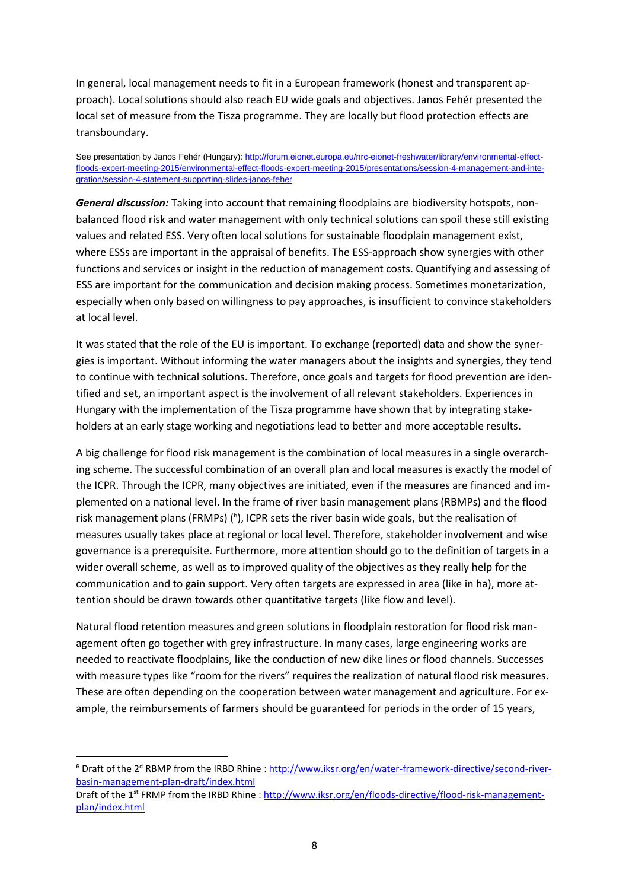In general, local management needs to fit in a European framework (honest and transparent approach). Local solutions should also reach EU wide goals and objectives. Janos Fehér presented the local set of measure from the Tisza programme. They are locally but flood protection effects are transboundary.

See presentation by Janos Fehér (Hungary): [http://forum.eionet.europa.eu/nrc-eionet-freshwater/library/environmental-effect](http://forum.eionet.europa.eu/nrc-eionet-freshwater/library/environmental-effect-floods-expert-meeting-2015/environmental-effect-floods-expert-meeting-2015/presentations/session-4-management-and-integration/session-4-statement-supporting-slides-janos-feher)[floods-expert-meeting-2015/environmental-effect-floods-expert-meeting-2015/presentations/session-4-management-and-inte](http://forum.eionet.europa.eu/nrc-eionet-freshwater/library/environmental-effect-floods-expert-meeting-2015/environmental-effect-floods-expert-meeting-2015/presentations/session-4-management-and-integration/session-4-statement-supporting-slides-janos-feher)[gration/session-4-statement-supporting-slides-janos-feher](http://forum.eionet.europa.eu/nrc-eionet-freshwater/library/environmental-effect-floods-expert-meeting-2015/environmental-effect-floods-expert-meeting-2015/presentations/session-4-management-and-integration/session-4-statement-supporting-slides-janos-feher)

*General discussion:* Taking into account that remaining floodplains are biodiversity hotspots, nonbalanced flood risk and water management with only technical solutions can spoil these still existing values and related ESS. Very often local solutions for sustainable floodplain management exist, where ESSs are important in the appraisal of benefits. The ESS-approach show synergies with other functions and services or insight in the reduction of management costs. Quantifying and assessing of ESS are important for the communication and decision making process. Sometimes monetarization, especially when only based on willingness to pay approaches, is insufficient to convince stakeholders at local level.

It was stated that the role of the EU is important. To exchange (reported) data and show the synergies is important. Without informing the water managers about the insights and synergies, they tend to continue with technical solutions. Therefore, once goals and targets for flood prevention are identified and set, an important aspect is the involvement of all relevant stakeholders. Experiences in Hungary with the implementation of the Tisza programme have shown that by integrating stakeholders at an early stage working and negotiations lead to better and more acceptable results.

A big challenge for flood risk management is the combination of local measures in a single overarching scheme. The successful combination of an overall plan and local measures is exactly the model of the ICPR. Through the ICPR, many objectives are initiated, even if the measures are financed and implemented on a national level. In the frame of river basin management plans (RBMPs) and the flood risk management plans (FRMPs) (<sup>6</sup>), ICPR sets the river basin wide goals, but the realisation of measures usually takes place at regional or local level. Therefore, stakeholder involvement and wise governance is a prerequisite. Furthermore, more attention should go to the definition of targets in a wider overall scheme, as well as to improved quality of the objectives as they really help for the communication and to gain support. Very often targets are expressed in area (like in ha), more attention should be drawn towards other quantitative targets (like flow and level).

Natural flood retention measures and green solutions in floodplain restoration for flood risk management often go together with grey infrastructure. In many cases, large engineering works are needed to reactivate floodplains, like the conduction of new dike lines or flood channels. Successes with measure types like "room for the rivers" requires the realization of natural flood risk measures. These are often depending on the cooperation between water management and agriculture. For example, the reimbursements of farmers should be guaranteed for periods in the order of 15 years,

<sup>&</sup>lt;sup>6</sup> Draft of the 2<sup>d</sup> RBMP from the IRBD Rhine : [http://www.iksr.org/en/water-framework-directive/second-river](http://www.iksr.org/en/water-framework-directive/second-river-basin-management-plan-draft/index.html)[basin-management-plan-draft/index.html](http://www.iksr.org/en/water-framework-directive/second-river-basin-management-plan-draft/index.html) 

Draft of the 1<sup>st</sup> FRMP from the IRBD Rhine : [http://www.iksr.org/en/floods-directive/flood-risk-management](http://www.iksr.org/en/floods-directive/flood-risk-management-plan/index.html)[plan/index.html](http://www.iksr.org/en/floods-directive/flood-risk-management-plan/index.html)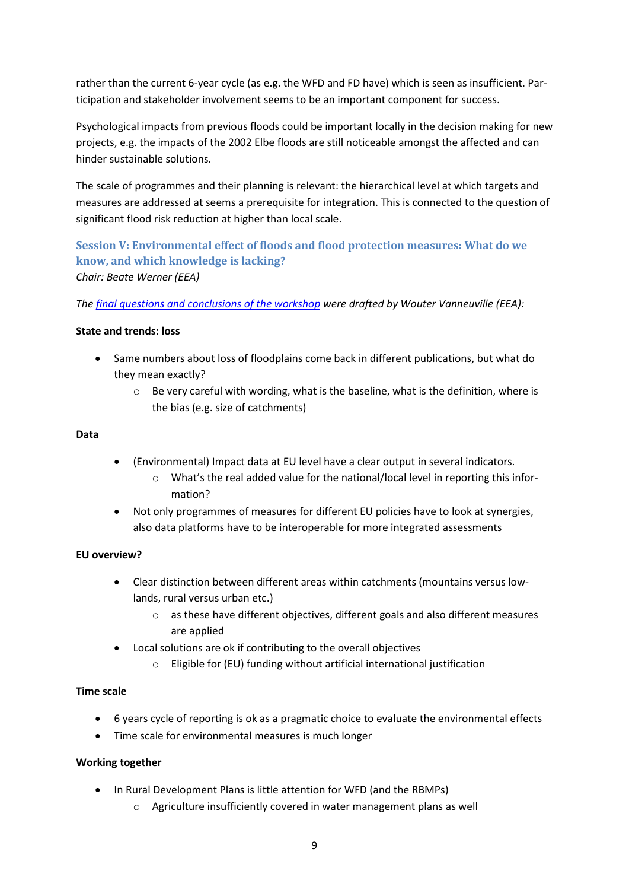rather than the current 6-year cycle (as e.g. the WFD and FD have) which is seen as insufficient. Participation and stakeholder involvement seems to be an important component for success.

Psychological impacts from previous floods could be important locally in the decision making for new projects, e.g. the impacts of the 2002 Elbe floods are still noticeable amongst the affected and can hinder sustainable solutions.

The scale of programmes and their planning is relevant: the hierarchical level at which targets and measures are addressed at seems a prerequisite for integration. This is connected to the question of significant flood risk reduction at higher than local scale.

#### **Session V: Environmental effect of floods and flood protection measures: What do we know, and which knowledge is lacking?** *Chair: Beate Werner (EEA)*

*The [final questions and conclusions](http://forum.eionet.europa.eu/nrc-eionet-freshwater/library/environmental-effect-floods-expert-meeting-2015/environmental-effect-floods-expert-meeting-2015/presentations/session-5-environmental-effect-floods-and-flood-protection-measures/session-5-draft-conclusions-and-introduction-final-discussions) of the workshop were drafted by Wouter Vanneuville (EEA):* 

#### **State and trends: loss**

- Same numbers about loss of floodplains come back in different publications, but what do they mean exactly?
	- $\circ$  Be very careful with wording, what is the baseline, what is the definition, where is the bias (e.g. size of catchments)

#### **Data**

- (Environmental) Impact data at EU level have a clear output in several indicators.
	- o What's the real added value for the national/local level in reporting this information?
- Not only programmes of measures for different EU policies have to look at synergies, also data platforms have to be interoperable for more integrated assessments

#### **EU overview?**

- Clear distinction between different areas within catchments (mountains versus lowlands, rural versus urban etc.)
	- o as these have different objectives, different goals and also different measures are applied
- Local solutions are ok if contributing to the overall objectives
	- o Eligible for (EU) funding without artificial international justification

#### **Time scale**

- 6 years cycle of reporting is ok as a pragmatic choice to evaluate the environmental effects
- Time scale for environmental measures is much longer

#### **Working together**

- In Rural Development Plans is little attention for WFD (and the RBMPs)
	- o Agriculture insufficiently covered in water management plans as well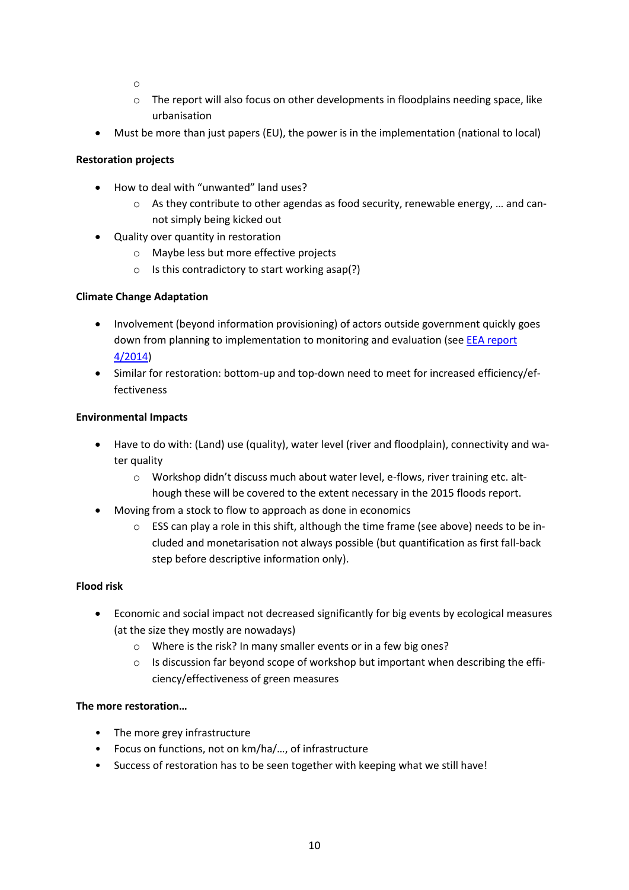- o
- $\circ$  The report will also focus on other developments in floodplains needing space, like urbanisation
- Must be more than just papers (EU), the power is in the implementation (national to local)

#### **Restoration projects**

- How to deal with "unwanted" land uses?
	- $\circ$  As they contribute to other agendas as food security, renewable energy, ... and cannot simply being kicked out
- Quality over quantity in restoration
	- o Maybe less but more effective projects
	- $\circ$  Is this contradictory to start working asap(?)

#### **Climate Change Adaptation**

- Involvement (beyond information provisioning) of actors outside government quickly goes down from planning to implementation to monitoring and evaluation (see EEA report [4/2014\)](http://www.eea.europa.eu/publications/national-adaptation-policy-processes)
- Similar for restoration: bottom-up and top-down need to meet for increased efficiency/effectiveness

#### **Environmental Impacts**

- Have to do with: (Land) use (quality), water level (river and floodplain), connectivity and water quality
	- o Workshop didn't discuss much about water level, e-flows, river training etc. although these will be covered to the extent necessary in the 2015 floods report.
- Moving from a stock to flow to approach as done in economics
	- $\circ$  ESS can play a role in this shift, although the time frame (see above) needs to be included and monetarisation not always possible (but quantification as first fall-back step before descriptive information only).

#### **Flood risk**

- Economic and social impact not decreased significantly for big events by ecological measures (at the size they mostly are nowadays)
	- o Where is the risk? In many smaller events or in a few big ones?
	- $\circ$  Is discussion far beyond scope of workshop but important when describing the efficiency/effectiveness of green measures

#### **The more restoration…**

- The more grey infrastructure
- Focus on functions, not on km/ha/…, of infrastructure
- Success of restoration has to be seen together with keeping what we still have!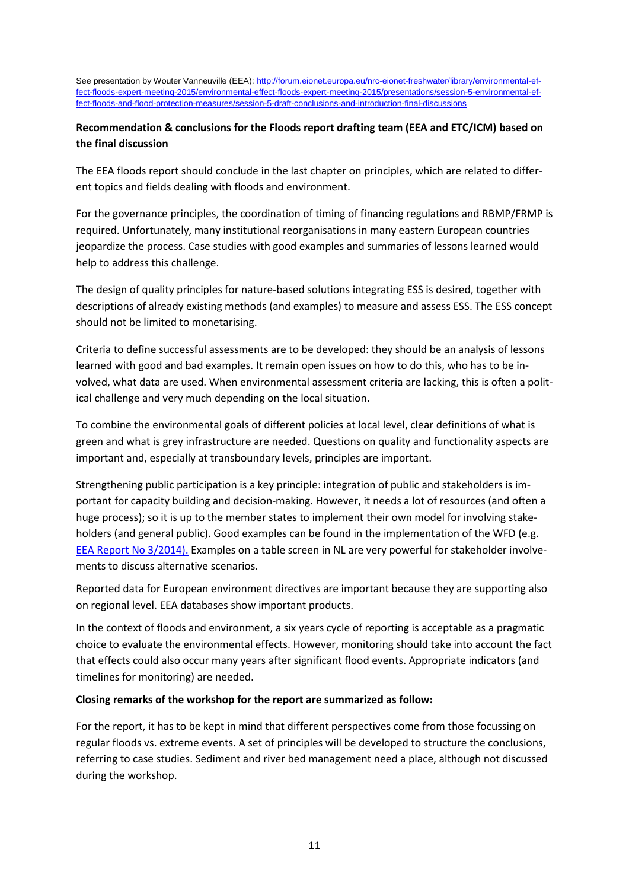See presentation by Wouter Vanneuville (EEA): [http://forum.eionet.europa.eu/nrc-eionet-freshwater/library/environmental-ef](http://forum.eionet.europa.eu/nrc-eionet-freshwater/library/environmental-effect-floods-expert-meeting-2015/environmental-effect-floods-expert-meeting-2015/presentations/session-5-environmental-effect-floods-and-flood-protection-measures/session-5-draft-conclusions-and-introduction-final-discussions)[fect-floods-expert-meeting-2015/environmental-effect-floods-expert-meeting-2015/presentations/session-5-environmental-ef](http://forum.eionet.europa.eu/nrc-eionet-freshwater/library/environmental-effect-floods-expert-meeting-2015/environmental-effect-floods-expert-meeting-2015/presentations/session-5-environmental-effect-floods-and-flood-protection-measures/session-5-draft-conclusions-and-introduction-final-discussions)[fect-floods-and-flood-protection-measures/session-5-draft-conclusions-and-introduction-final-discussions](http://forum.eionet.europa.eu/nrc-eionet-freshwater/library/environmental-effect-floods-expert-meeting-2015/environmental-effect-floods-expert-meeting-2015/presentations/session-5-environmental-effect-floods-and-flood-protection-measures/session-5-draft-conclusions-and-introduction-final-discussions)

#### **Recommendation & conclusions for the Floods report drafting team (EEA and ETC/ICM) based on the final discussion**

The EEA floods report should conclude in the last chapter on principles, which are related to different topics and fields dealing with floods and environment.

For the governance principles, the coordination of timing of financing regulations and RBMP/FRMP is required. Unfortunately, many institutional reorganisations in many eastern European countries jeopardize the process. Case studies with good examples and summaries of lessons learned would help to address this challenge.

The design of quality principles for nature-based solutions integrating ESS is desired, together with descriptions of already existing methods (and examples) to measure and assess ESS. The ESS concept should not be limited to monetarising.

Criteria to define successful assessments are to be developed: they should be an analysis of lessons learned with good and bad examples. It remain open issues on how to do this, who has to be involved, what data are used. When environmental assessment criteria are lacking, this is often a political challenge and very much depending on the local situation.

To combine the environmental goals of different policies at local level, clear definitions of what is green and what is grey infrastructure are needed. Questions on quality and functionality aspects are important and, especially at transboundary levels, principles are important.

Strengthening public participation is a key principle: integration of public and stakeholders is important for capacity building and decision-making. However, it needs a lot of resources (and often a huge process); so it is up to the member states to implement their own model for involving stakeholders (and general public). Good examples can be found in the implementation of the WFD (e.g. [EEA Report No 3/2014\)](http://www.eea.europa.eu/publications/public-participation-contributing-to-better). Examples on a table screen in NL are very powerful for stakeholder involvements to discuss alternative scenarios.

Reported data for European environment directives are important because they are supporting also on regional level. EEA databases show important products.

In the context of floods and environment, a six years cycle of reporting is acceptable as a pragmatic choice to evaluate the environmental effects. However, monitoring should take into account the fact that effects could also occur many years after significant flood events. Appropriate indicators (and timelines for monitoring) are needed.

#### **Closing remarks of the workshop for the report are summarized as follow:**

For the report, it has to be kept in mind that different perspectives come from those focussing on regular floods vs. extreme events. A set of principles will be developed to structure the conclusions, referring to case studies. Sediment and river bed management need a place, although not discussed during the workshop.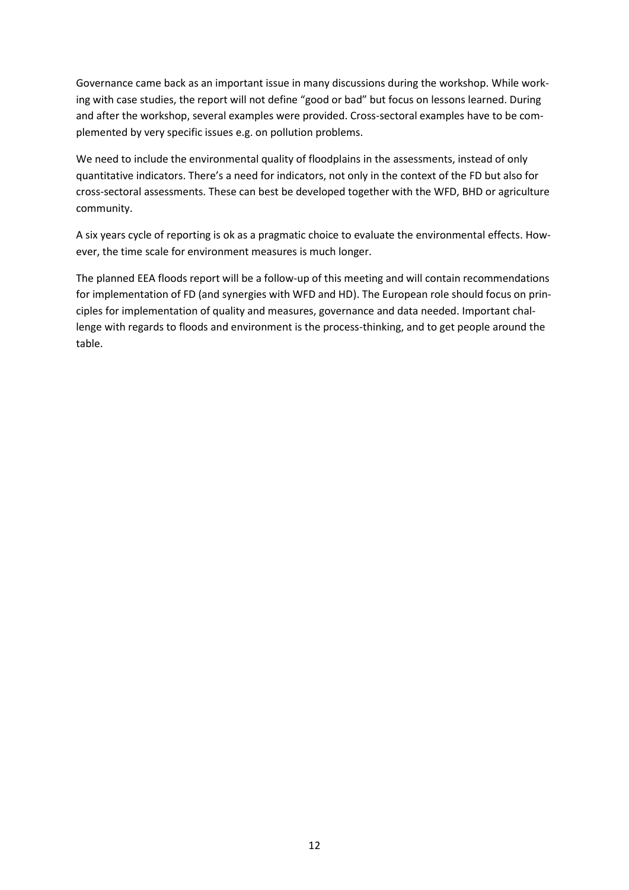Governance came back as an important issue in many discussions during the workshop. While working with case studies, the report will not define "good or bad" but focus on lessons learned. During and after the workshop, several examples were provided. Cross-sectoral examples have to be complemented by very specific issues e.g. on pollution problems.

We need to include the environmental quality of floodplains in the assessments, instead of only quantitative indicators. There's a need for indicators, not only in the context of the FD but also for cross-sectoral assessments. These can best be developed together with the WFD, BHD or agriculture community.

A six years cycle of reporting is ok as a pragmatic choice to evaluate the environmental effects. However, the time scale for environment measures is much longer.

The planned EEA floods report will be a follow-up of this meeting and will contain recommendations for implementation of FD (and synergies with WFD and HD). The European role should focus on principles for implementation of quality and measures, governance and data needed. Important challenge with regards to floods and environment is the process-thinking, and to get people around the table.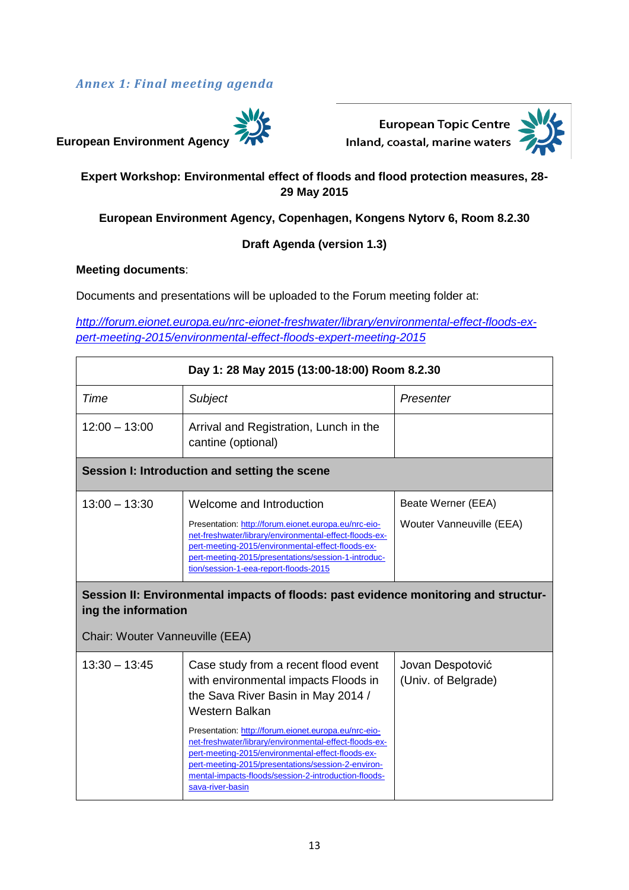### *Annex 1: Final meeting agenda*



European Topic Centre



## **Expert Workshop: Environmental effect of floods and flood protection measures, 28- 29 May 2015**

**European Environment Agency, Copenhagen, Kongens Nytorv 6, Room 8.2.30** 

#### **Draft Agenda (version 1.3)**

#### **Meeting documents**:

 $\mathbf{r}$ 

Documents and presentations will be uploaded to the Forum meeting folder at:

*[http://forum.eionet.europa.eu/nrc-eionet-freshwater/library/environmental-effect-floods-ex](http://forum.eionet.europa.eu/nrc-eionet-freshwater/library/environmental-effect-floods-expert-meeting-2015/environmental-effect-floods-expert-meeting-2015)[pert-meeting-2015/environmental-effect-floods-expert-meeting-2015](http://forum.eionet.europa.eu/nrc-eionet-freshwater/library/environmental-effect-floods-expert-meeting-2015/environmental-effect-floods-expert-meeting-2015)*

| Day 1: 28 May 2015 (13:00-18:00) Room 8.2.30           |                                                                                                                                                                                                                                                                                                 |                                                |  |  |
|--------------------------------------------------------|-------------------------------------------------------------------------------------------------------------------------------------------------------------------------------------------------------------------------------------------------------------------------------------------------|------------------------------------------------|--|--|
| Time                                                   | <b>Subject</b>                                                                                                                                                                                                                                                                                  | Presenter                                      |  |  |
| $12:00 - 13:00$                                        | Arrival and Registration, Lunch in the<br>cantine (optional)                                                                                                                                                                                                                                    |                                                |  |  |
| Session I: Introduction and setting the scene          |                                                                                                                                                                                                                                                                                                 |                                                |  |  |
| $13:00 - 13:30$                                        | Welcome and Introduction<br>Presentation: http://forum.eionet.europa.eu/nrc-eio-<br>net-freshwater/library/environmental-effect-floods-ex-<br>pert-meeting-2015/environmental-effect-floods-ex-<br>pert-meeting-2015/presentations/session-1-introduc-<br>tion/session-1-eea-report-floods-2015 | Beate Werner (EEA)<br>Wouter Vanneuville (EEA) |  |  |
|                                                        |                                                                                                                                                                                                                                                                                                 |                                                |  |  |
| ing the information<br>Chair: Wouter Vanneuville (EEA) | Session II: Environmental impacts of floods: past evidence monitoring and structur-                                                                                                                                                                                                             |                                                |  |  |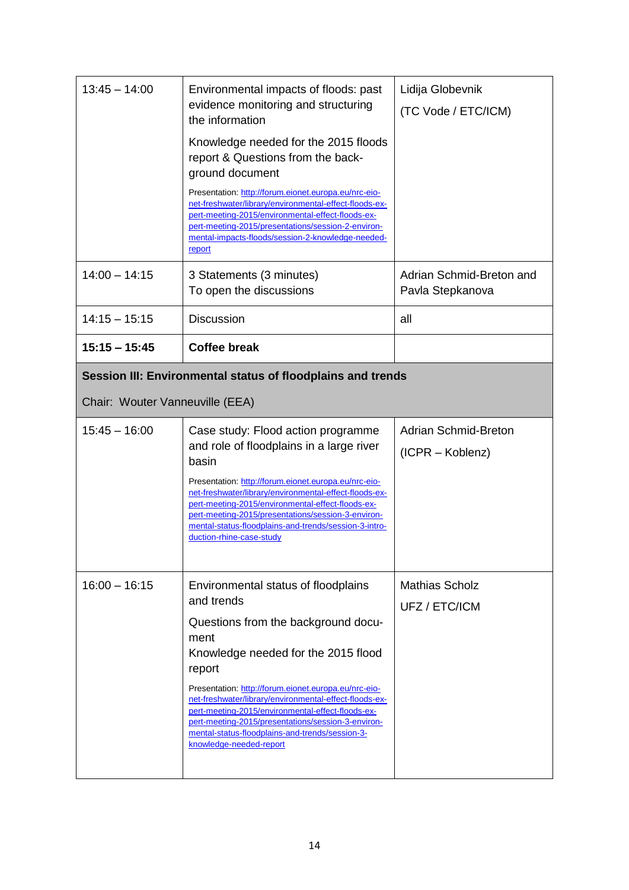| $13:45 - 14:00$                                                                                | Environmental impacts of floods: past<br>evidence monitoring and structuring<br>the information<br>Knowledge needed for the 2015 floods<br>report & Questions from the back-<br>ground document<br>Presentation: http://forum.eionet.europa.eu/nrc-eio-<br>net-freshwater/library/environmental-effect-floods-ex-<br>pert-meeting-2015/environmental-effect-floods-ex-<br>pert-meeting-2015/presentations/session-2-environ-<br>mental-impacts-floods/session-2-knowledge-needed-<br>report | Lidija Globevnik<br>(TC Vode / ETC/ICM)         |  |  |
|------------------------------------------------------------------------------------------------|---------------------------------------------------------------------------------------------------------------------------------------------------------------------------------------------------------------------------------------------------------------------------------------------------------------------------------------------------------------------------------------------------------------------------------------------------------------------------------------------|-------------------------------------------------|--|--|
| $14:00 - 14:15$                                                                                | 3 Statements (3 minutes)<br>To open the discussions                                                                                                                                                                                                                                                                                                                                                                                                                                         | Adrian Schmid-Breton and<br>Pavla Stepkanova    |  |  |
| $14:15 - 15:15$                                                                                | <b>Discussion</b>                                                                                                                                                                                                                                                                                                                                                                                                                                                                           | all                                             |  |  |
| $15:15 - 15:45$                                                                                | <b>Coffee break</b>                                                                                                                                                                                                                                                                                                                                                                                                                                                                         |                                                 |  |  |
| Session III: Environmental status of floodplains and trends<br>Chair: Wouter Vanneuville (EEA) |                                                                                                                                                                                                                                                                                                                                                                                                                                                                                             |                                                 |  |  |
| $15:45 - 16:00$                                                                                | Case study: Flood action programme<br>and role of floodplains in a large river<br>basin<br>Presentation: http://forum.eionet.europa.eu/nrc-eio-<br>net-freshwater/library/environmental-effect-floods-ex-<br>pert-meeting-2015/environmental-effect-floods-ex-<br>pert-meeting-2015/presentations/session-3-environ-<br>mental-status-floodplains-and-trends/session-3-intro-<br>duction-rhine-case-study                                                                                   | <b>Adrian Schmid-Breton</b><br>(ICPR – Koblenz) |  |  |
| $16:00 - 16:15$                                                                                | Environmental status of floodplains<br>and trends<br>Questions from the background docu-<br>ment<br>Knowledge needed for the 2015 flood<br>report<br>Presentation: http://forum.eionet.europa.eu/nrc-eio-<br>net-freshwater/library/environmental-effect-floods-ex-<br>pert-meeting-2015/environmental-effect-floods-ex-<br>pert-meeting-2015/presentations/session-3-environ-<br>mental-status-floodplains-and-trends/session-3-                                                           | <b>Mathias Scholz</b><br>UFZ / ETC/ICM          |  |  |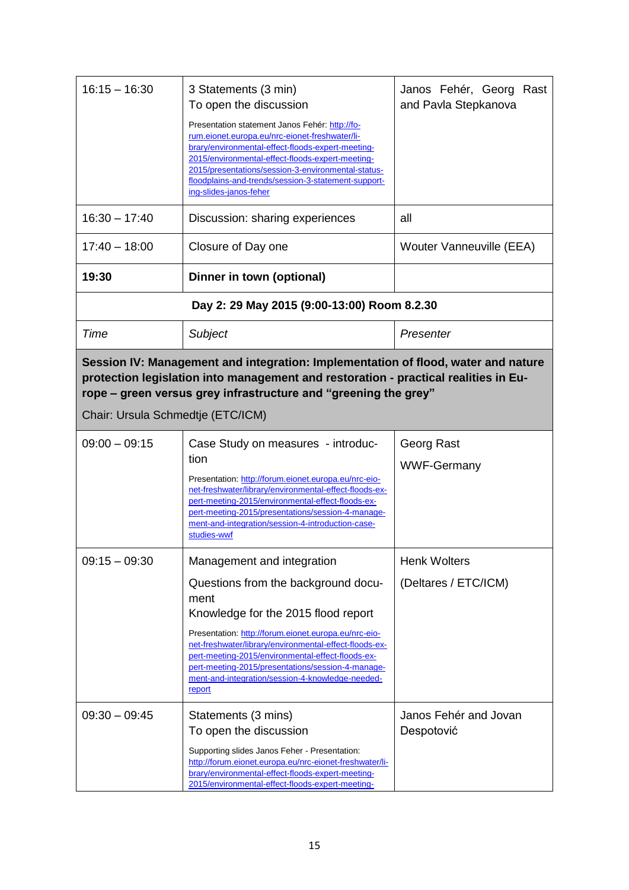| $16:15 - 16:30$                                                                                                                                                                                                                                                                  | 3 Statements (3 min)<br>To open the discussion<br>Presentation statement Janos Fehér: http://fo-<br>rum.eionet.europa.eu/nrc-eionet-freshwater/li-<br>brary/environmental-effect-floods-expert-meeting-<br>2015/environmental-effect-floods-expert-meeting-<br>2015/presentations/session-3-environmental-status-<br>floodplains-and-trends/session-3-statement-support-<br>ing-slides-janos-feher         | Janos Fehér, Georg Rast<br>and Pavla Stepkanova |  |  |
|----------------------------------------------------------------------------------------------------------------------------------------------------------------------------------------------------------------------------------------------------------------------------------|------------------------------------------------------------------------------------------------------------------------------------------------------------------------------------------------------------------------------------------------------------------------------------------------------------------------------------------------------------------------------------------------------------|-------------------------------------------------|--|--|
| $16:30 - 17:40$                                                                                                                                                                                                                                                                  | Discussion: sharing experiences                                                                                                                                                                                                                                                                                                                                                                            | all                                             |  |  |
| $17:40 - 18:00$                                                                                                                                                                                                                                                                  | Closure of Day one                                                                                                                                                                                                                                                                                                                                                                                         | Wouter Vanneuville (EEA)                        |  |  |
| 19:30                                                                                                                                                                                                                                                                            | Dinner in town (optional)                                                                                                                                                                                                                                                                                                                                                                                  |                                                 |  |  |
|                                                                                                                                                                                                                                                                                  | Day 2: 29 May 2015 (9:00-13:00) Room 8.2.30                                                                                                                                                                                                                                                                                                                                                                |                                                 |  |  |
| Time                                                                                                                                                                                                                                                                             | Subject                                                                                                                                                                                                                                                                                                                                                                                                    | Presenter                                       |  |  |
| Session IV: Management and integration: Implementation of flood, water and nature<br>protection legislation into management and restoration - practical realities in Eu-<br>rope – green versus grey infrastructure and "greening the grey"<br>Chair: Ursula Schmedtje (ETC/ICM) |                                                                                                                                                                                                                                                                                                                                                                                                            |                                                 |  |  |
| $09:00 - 09:15$                                                                                                                                                                                                                                                                  | Case Study on measures - introduc-<br>tion<br>Presentation: http://forum.eionet.europa.eu/nrc-eio-<br>net-freshwater/library/environmental-effect-floods-ex-<br>pert-meeting-2015/environmental-effect-floods-ex-<br>pert-meeting-2015/presentations/session-4-manage-<br>ment-and-integration/session-4-introduction-case-<br>studies-wwf                                                                 | Georg Rast<br><b>WWF-Germany</b>                |  |  |
| $09:15 - 09:30$                                                                                                                                                                                                                                                                  | Management and integration<br>Questions from the background docu-<br>ment<br>Knowledge for the 2015 flood report<br>Presentation: http://forum.eionet.europa.eu/nrc-eio-<br>net-freshwater/library/environmental-effect-floods-ex-<br>pert-meeting-2015/environmental-effect-floods-ex-<br>pert-meeting-2015/presentations/session-4-manage-<br>ment-and-integration/session-4-knowledge-needed-<br>report | <b>Henk Wolters</b><br>(Deltares / ETC/ICM)     |  |  |
| $09:30 - 09:45$                                                                                                                                                                                                                                                                  | Statements (3 mins)<br>To open the discussion<br>Supporting slides Janos Feher - Presentation:<br>http://forum.eionet.europa.eu/nrc-eionet-freshwater/li-<br>brary/environmental-effect-floods-expert-meeting-<br>2015/environmental-effect-floods-expert-meeting-                                                                                                                                         | Janos Fehér and Jovan<br>Despotović             |  |  |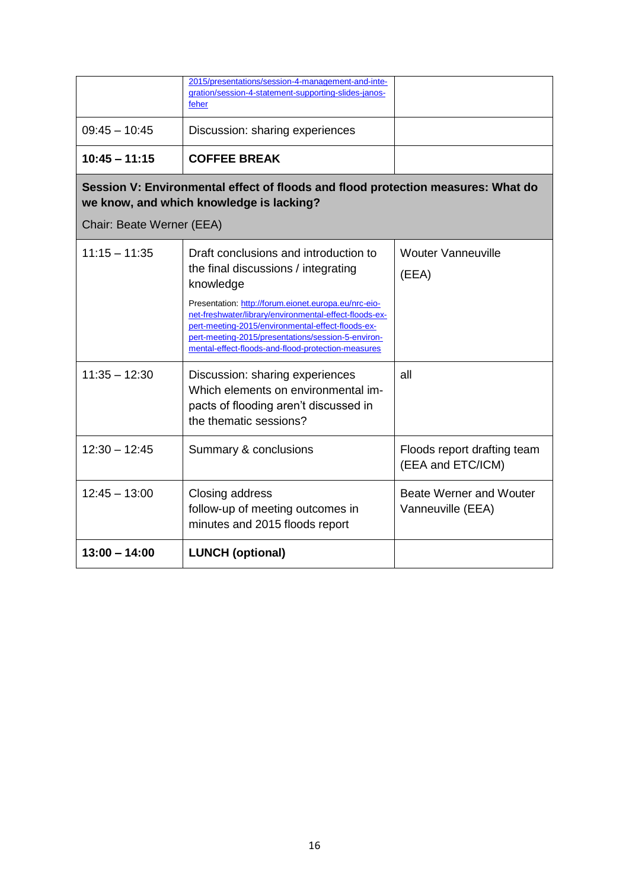|                                                                                                                              | 2015/presentations/session-4-management-and-inte-<br>gration/session-4-statement-supporting-slides-janos-<br>feher                                                                                                                                                              |                                                  |  |  |  |
|------------------------------------------------------------------------------------------------------------------------------|---------------------------------------------------------------------------------------------------------------------------------------------------------------------------------------------------------------------------------------------------------------------------------|--------------------------------------------------|--|--|--|
| $09:45 - 10:45$                                                                                                              | Discussion: sharing experiences                                                                                                                                                                                                                                                 |                                                  |  |  |  |
| $10:45 - 11:15$                                                                                                              | <b>COFFEE BREAK</b>                                                                                                                                                                                                                                                             |                                                  |  |  |  |
| Session V: Environmental effect of floods and flood protection measures: What do<br>we know, and which knowledge is lacking? |                                                                                                                                                                                                                                                                                 |                                                  |  |  |  |
| Chair: Beate Werner (EEA)                                                                                                    |                                                                                                                                                                                                                                                                                 |                                                  |  |  |  |
| $11:15 - 11:35$                                                                                                              | Draft conclusions and introduction to<br>the final discussions / integrating<br>knowledge                                                                                                                                                                                       | <b>Wouter Vanneuville</b><br>(EEA)               |  |  |  |
|                                                                                                                              | Presentation: http://forum.eionet.europa.eu/nrc-eio-<br>net-freshwater/library/environmental-effect-floods-ex-<br>pert-meeting-2015/environmental-effect-floods-ex-<br>pert-meeting-2015/presentations/session-5-environ-<br>mental-effect-floods-and-flood-protection-measures |                                                  |  |  |  |
| $11:35 - 12:30$                                                                                                              | Discussion: sharing experiences<br>Which elements on environmental im-<br>pacts of flooding aren't discussed in<br>the thematic sessions?                                                                                                                                       | all                                              |  |  |  |
| $12:30 - 12:45$                                                                                                              | Summary & conclusions                                                                                                                                                                                                                                                           | Floods report drafting team<br>(EEA and ETC/ICM) |  |  |  |
| $12:45 - 13:00$                                                                                                              | Closing address<br>follow-up of meeting outcomes in<br>minutes and 2015 floods report                                                                                                                                                                                           | Beate Werner and Wouter<br>Vanneuville (EEA)     |  |  |  |
| $13:00 - 14:00$                                                                                                              | <b>LUNCH (optional)</b>                                                                                                                                                                                                                                                         |                                                  |  |  |  |